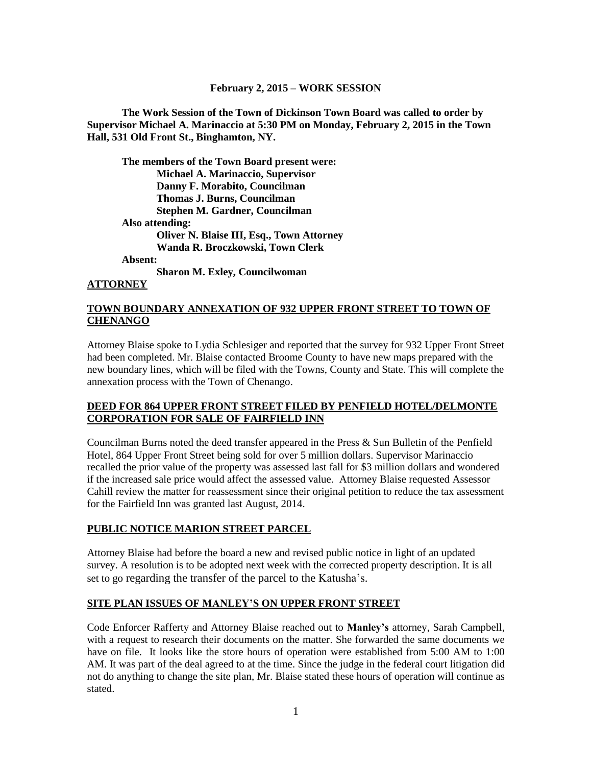#### **February 2, 2015 – WORK SESSION**

**The Work Session of the Town of Dickinson Town Board was called to order by Supervisor Michael A. Marinaccio at 5:30 PM on Monday, February 2, 2015 in the Town Hall, 531 Old Front St., Binghamton, NY.**

**The members of the Town Board present were: Michael A. Marinaccio, Supervisor Danny F. Morabito, Councilman Thomas J. Burns, Councilman Stephen M. Gardner, Councilman Also attending: Oliver N. Blaise III, Esq., Town Attorney Wanda R. Broczkowski, Town Clerk Absent:**

**Sharon M. Exley, Councilwoman**

#### **ATTORNEY**

#### **TOWN BOUNDARY ANNEXATION OF 932 UPPER FRONT STREET TO TOWN OF CHENANGO**

Attorney Blaise spoke to Lydia Schlesiger and reported that the survey for 932 Upper Front Street had been completed. Mr. Blaise contacted Broome County to have new maps prepared with the new boundary lines, which will be filed with the Towns, County and State. This will complete the annexation process with the Town of Chenango.

#### **DEED FOR 864 UPPER FRONT STREET FILED BY PENFIELD HOTEL/DELMONTE CORPORATION FOR SALE OF FAIRFIELD INN**

Councilman Burns noted the deed transfer appeared in the Press & Sun Bulletin of the Penfield Hotel, 864 Upper Front Street being sold for over 5 million dollars. Supervisor Marinaccio recalled the prior value of the property was assessed last fall for \$3 million dollars and wondered if the increased sale price would affect the assessed value. Attorney Blaise requested Assessor Cahill review the matter for reassessment since their original petition to reduce the tax assessment for the Fairfield Inn was granted last August, 2014.

#### **PUBLIC NOTICE MARION STREET PARCEL**

Attorney Blaise had before the board a new and revised public notice in light of an updated survey. A resolution is to be adopted next week with the corrected property description. It is all set to go regarding the transfer of the parcel to the Katusha's.

#### **SITE PLAN ISSUES OF MANLEY'S ON UPPER FRONT STREET**

Code Enforcer Rafferty and Attorney Blaise reached out to **Manley's** attorney, Sarah Campbell, with a request to research their documents on the matter. She forwarded the same documents we have on file. It looks like the store hours of operation were established from 5:00 AM to 1:00 AM. It was part of the deal agreed to at the time. Since the judge in the federal court litigation did not do anything to change the site plan, Mr. Blaise stated these hours of operation will continue as stated.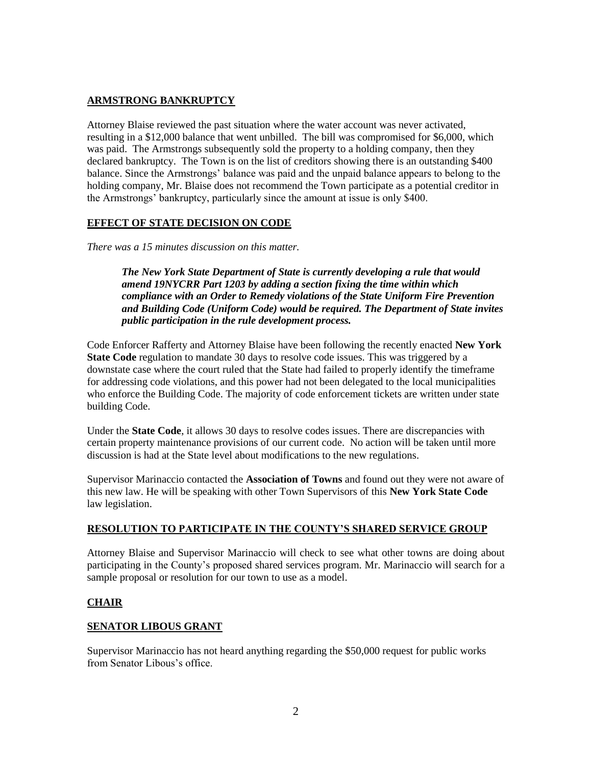### **ARMSTRONG BANKRUPTCY**

Attorney Blaise reviewed the past situation where the water account was never activated, resulting in a \$12,000 balance that went unbilled. The bill was compromised for \$6,000, which was paid. The Armstrongs subsequently sold the property to a holding company, then they declared bankruptcy. The Town is on the list of creditors showing there is an outstanding \$400 balance. Since the Armstrongs' balance was paid and the unpaid balance appears to belong to the holding company, Mr. Blaise does not recommend the Town participate as a potential creditor in the Armstrongs' bankruptcy, particularly since the amount at issue is only \$400.

### **EFFECT OF STATE DECISION ON CODE**

*There was a 15 minutes discussion on this matter.*

*The New York State Department of State is currently developing a rule that would amend 19NYCRR Part 1203 by adding a section fixing the time within which compliance with an Order to Remedy violations of the State Uniform Fire Prevention and Building Code (Uniform Code) would be required. The Department of State invites public participation in the rule development process.*

Code Enforcer Rafferty and Attorney Blaise have been following the recently enacted **New York State Code** regulation to mandate 30 days to resolve code issues. This was triggered by a downstate case where the court ruled that the State had failed to properly identify the timeframe for addressing code violations, and this power had not been delegated to the local municipalities who enforce the Building Code. The majority of code enforcement tickets are written under state building Code.

Under the **State Code**, it allows 30 days to resolve codes issues. There are discrepancies with certain property maintenance provisions of our current code. No action will be taken until more discussion is had at the State level about modifications to the new regulations.

Supervisor Marinaccio contacted the **Association of Towns** and found out they were not aware of this new law. He will be speaking with other Town Supervisors of this **New York State Code** law legislation.

#### **RESOLUTION TO PARTICIPATE IN THE COUNTY'S SHARED SERVICE GROUP**

Attorney Blaise and Supervisor Marinaccio will check to see what other towns are doing about participating in the County's proposed shared services program. Mr. Marinaccio will search for a sample proposal or resolution for our town to use as a model.

## **CHAIR**

#### **SENATOR LIBOUS GRANT**

Supervisor Marinaccio has not heard anything regarding the \$50,000 request for public works from Senator Libous's office.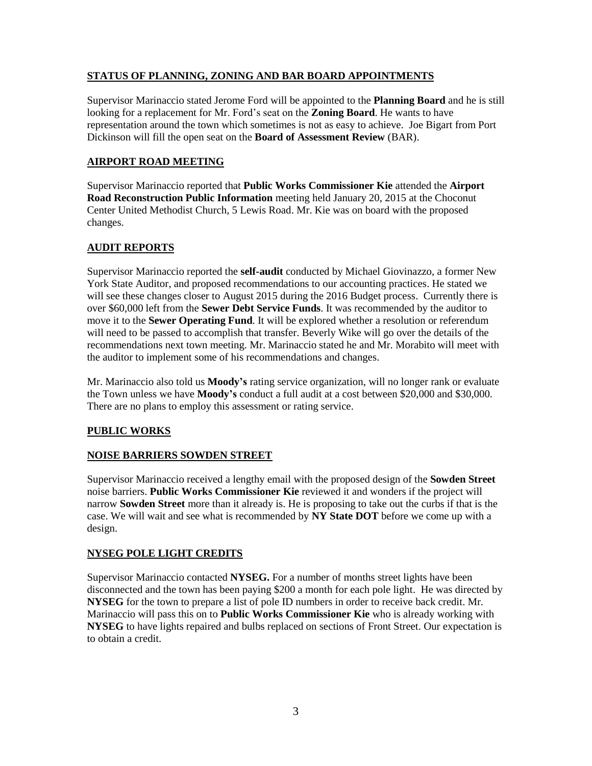## **STATUS OF PLANNING, ZONING AND BAR BOARD APPOINTMENTS**

Supervisor Marinaccio stated Jerome Ford will be appointed to the **Planning Board** and he is still looking for a replacement for Mr. Ford's seat on the **Zoning Board**. He wants to have representation around the town which sometimes is not as easy to achieve. Joe Bigart from Port Dickinson will fill the open seat on the **Board of Assessment Review** (BAR).

## **AIRPORT ROAD MEETING**

Supervisor Marinaccio reported that **Public Works Commissioner Kie** attended the **Airport Road Reconstruction Public Information** meeting held January 20, 2015 at the Choconut Center United Methodist Church, 5 Lewis Road. Mr. Kie was on board with the proposed changes.

## **AUDIT REPORTS**

Supervisor Marinaccio reported the **self-audit** conducted by Michael Giovinazzo, a former New York State Auditor, and proposed recommendations to our accounting practices. He stated we will see these changes closer to August 2015 during the 2016 Budget process. Currently there is over \$60,000 left from the **Sewer Debt Service Funds**. It was recommended by the auditor to move it to the **Sewer Operating Fund**. It will be explored whether a resolution or referendum will need to be passed to accomplish that transfer. Beverly Wike will go over the details of the recommendations next town meeting. Mr. Marinaccio stated he and Mr. Morabito will meet with the auditor to implement some of his recommendations and changes.

Mr. Marinaccio also told us **Moody's** rating service organization, will no longer rank or evaluate the Town unless we have **Moody's** conduct a full audit at a cost between \$20,000 and \$30,000. There are no plans to employ this assessment or rating service.

## **PUBLIC WORKS**

## **NOISE BARRIERS SOWDEN STREET**

Supervisor Marinaccio received a lengthy email with the proposed design of the **Sowden Street** noise barriers. **Public Works Commissioner Kie** reviewed it and wonders if the project will narrow **Sowden Street** more than it already is. He is proposing to take out the curbs if that is the case. We will wait and see what is recommended by **NY State DOT** before we come up with a design.

## **NYSEG POLE LIGHT CREDITS**

Supervisor Marinaccio contacted **NYSEG.** For a number of months street lights have been disconnected and the town has been paying \$200 a month for each pole light. He was directed by **NYSEG** for the town to prepare a list of pole ID numbers in order to receive back credit. Mr. Marinaccio will pass this on to **Public Works Commissioner Kie** who is already working with **NYSEG** to have lights repaired and bulbs replaced on sections of Front Street. Our expectation is to obtain a credit.